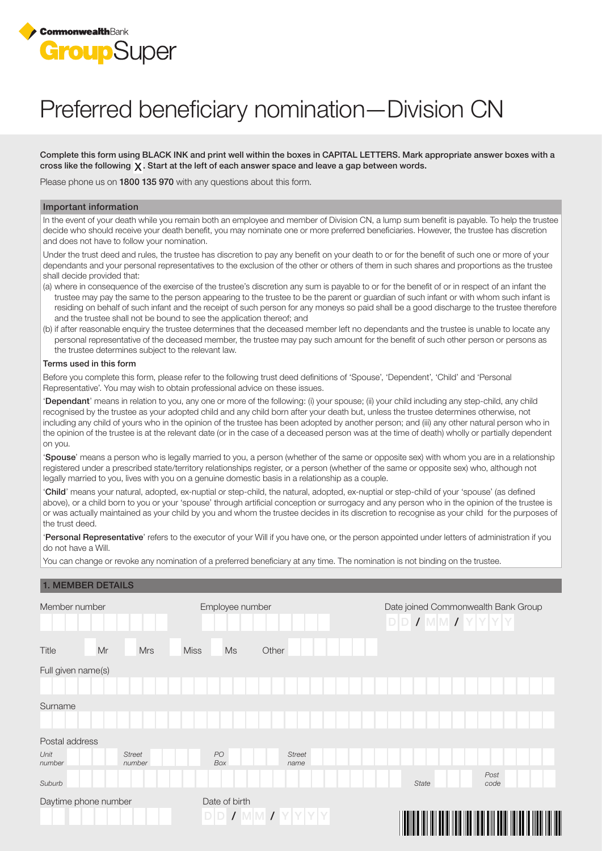

# Preferred beneficiary nomination—Division CN

Complete this form using BLACK INK and print well within the boxes in CAPITAL LETTERS. Mark appropriate answer boxes with a cross like the following  $\chi$ . Start at the left of each answer space and leave a gap between words.

Please phone us on 1800 135 970 with any questions about this form.

#### Important information

In the event of your death while you remain both an employee and member of Division CN, a lump sum benefit is payable. To help the trustee decide who should receive your death benefit, you may nominate one or more preferred beneficiaries. However, the trustee has discretion and does not have to follow your nomination.

Under the trust deed and rules, the trustee has discretion to pay any benefit on your death to or for the benefit of such one or more of your dependants and your personal representatives to the exclusion of the other or others of them in such shares and proportions as the trustee shall decide provided that:

- (a) where in consequence of the exercise of the trustee's discretion any sum is payable to or for the benefit of or in respect of an infant the trustee may pay the same to the person appearing to the trustee to be the parent or guardian of such infant or with whom such infant is residing on behalf of such infant and the receipt of such person for any moneys so paid shall be a good discharge to the trustee therefore and the trustee shall not be bound to see the application thereof; and
- (b) if after reasonable enquiry the trustee determines that the deceased member left no dependants and the trustee is unable to locate any personal representative of the deceased member, the trustee may pay such amount for the benefit of such other person or persons as the trustee determines subject to the relevant law.

#### Terms used in this form

Before you complete this form, please refer to the following trust deed definitions of 'Spouse', 'Dependent', 'Child' and 'Personal Representative'. You may wish to obtain professional advice on these issues.

'Dependant' means in relation to you, any one or more of the following: (i) your spouse; (ii) your child including any step-child, any child recognised by the trustee as your adopted child and any child born after your death but, unless the trustee determines otherwise, not including any child of yours who in the opinion of the trustee has been adopted by another person; and (iii) any other natural person who in the opinion of the trustee is at the relevant date (or in the case of a deceased person was at the time of death) wholly or partially dependent on you.

'Spouse' means a person who is legally married to you, a person (whether of the same or opposite sex) with whom you are in a relationship registered under a prescribed state/territory relationships register, or a person (whether of the same or opposite sex) who, although not legally married to you, lives with you on a genuine domestic basis in a relationship as a couple.

'Child' means your natural, adopted, ex-nuptial or step-child, the natural, adopted, ex-nuptial or step-child of your 'spouse' (as defined above), or a child born to you or your 'spouse' through artificial conception or surrogacy and any person who in the opinion of the trustee is or was actually maintained as your child by you and whom the trustee decides in its discretion to recognise as your child for the purposes of the trust deed.

'Personal Representative' refers to the executor of your Will if you have one, or the person appointed under letters of administration if you do not have a Will.

You can change or revoke any nomination of a preferred beneficiary at any time. The nomination is not binding on the trustee.

## 1. MEMBER DETAILS

| Member number                             | Employee number                                      | Date joined Commonwealth Bank Group<br>$D D J M M J Y Y Y Y$ |
|-------------------------------------------|------------------------------------------------------|--------------------------------------------------------------|
| Mr<br><b>Mrs</b><br>Title                 | <b>Miss</b><br>Ms<br>Other                           |                                                              |
| Full given name(s)                        |                                                      |                                                              |
|                                           |                                                      |                                                              |
| Surname                                   |                                                      |                                                              |
| Postal address                            |                                                      |                                                              |
| Unit<br><b>Street</b><br>number<br>number | PO<br><b>Street</b><br>Box<br>name                   |                                                              |
| Suburb                                    |                                                      | Post<br>State<br>code                                        |
| Daytime phone number                      | Date of birth<br>$D[D] \mid I[M][N] \mid I[N][Y][Y]$ | <u> Hill III III </u><br>IIII<br>III II                      |